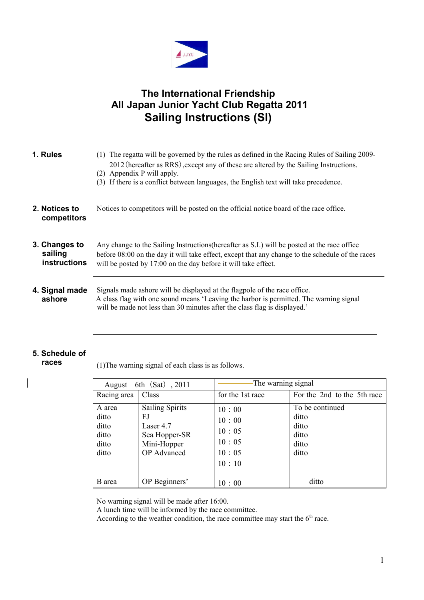

# **The International Friendship All Japan Junior Yacht Club Regatta 2011 Sailing Instructions (SI)**

| 1. Rules                                        | (1) The regatta will be governed by the rules as defined in the Racing Rules of Sailing 2009-<br>2012 (hereafter as RRS), except any of these are altered by the Sailing Instructions.<br>(2) Appendix P will apply.<br>(3) If there is a conflict between languages, the English text will take precedence. |
|-------------------------------------------------|--------------------------------------------------------------------------------------------------------------------------------------------------------------------------------------------------------------------------------------------------------------------------------------------------------------|
| 2. Notices to<br>competitors                    | Notices to competitors will be posted on the official notice board of the race office.                                                                                                                                                                                                                       |
| 3. Changes to<br>sailing<br><b>instructions</b> | Any change to the Sailing Instructions (hereafter as S.I.) will be posted at the race office<br>before 08:00 on the day it will take effect, except that any change to the schedule of the races<br>will be posted by 17:00 on the day before it will take effect.                                           |
| 4. Signal made<br>ashore                        | Signals made ashore will be displayed at the flagpole of the race office.<br>A class flag with one sound means 'Leaving the harbor is permitted. The warning signal<br>will be made not less than 30 minutes after the class flag is displayed.'                                                             |

### **5. Schedule of races**

 $\overline{\phantom{a}}$ 

(1)The warning signal of each class is as follows.

| 6th (Sat), 2011<br>August                           |                                                                                                 | The warning signal                                 |                                                              |
|-----------------------------------------------------|-------------------------------------------------------------------------------------------------|----------------------------------------------------|--------------------------------------------------------------|
| Racing area                                         | Class                                                                                           | for the 1st race                                   | For the 2nd to the 5th race                                  |
| A area<br>ditto<br>ditto<br>ditto<br>ditto<br>ditto | <b>Sailing Spirits</b><br>FJ<br>Laser 4.7<br>Sea Hopper-SR<br>Mini-Hopper<br><b>OP</b> Advanced | 10:00<br>10:00<br>10:05<br>10:05<br>10:05<br>10:10 | To be continued<br>ditto<br>ditto<br>ditto<br>ditto<br>ditto |
| B area                                              | OP Beginners'                                                                                   | 10:00                                              | ditto                                                        |

No warning signal will be made after 16:00.

A lunch time will be informed by the race committee.

According to the weather condition, the race committee may start the  $6<sup>th</sup>$  race.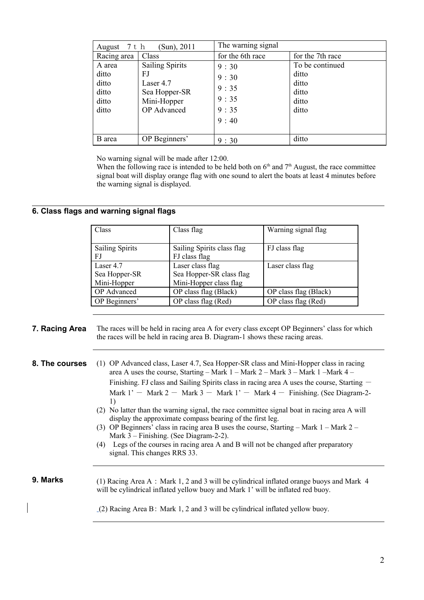| (Sun), 2011<br>August $7 \text{ t h}$ |                                   | The warning signal |                          |
|---------------------------------------|-----------------------------------|--------------------|--------------------------|
| Racing area                           | Class                             | for the 6th race   | for the 7th race         |
| A area<br>ditto                       | <b>Sailing Spirits</b><br>FJ      | 9:30               | To be continued<br>ditto |
| ditto                                 | Laser 4.7                         | 9:30               | ditto                    |
| ditto                                 | Sea Hopper-SR                     | 9:35<br>9:35       | ditto                    |
| ditto<br>ditto                        | Mini-Hopper<br><b>OP</b> Advanced | 9:35               | ditto<br>ditto           |
|                                       |                                   | 9:40               |                          |
|                                       |                                   |                    |                          |
| B area                                | OP Beginners'                     | 9:30               | ditto                    |

No warning signal will be made after 12:00.

When the following race is intended to be held both on  $6<sup>th</sup>$  and  $7<sup>th</sup>$  August, the race committee signal boat will display orange flag with one sound to alert the boats at least 4 minutes before the warning signal is displayed.

# **6. Class flags and warning signal flags**

| Class                  | Class flag                 | Warning signal flag   |
|------------------------|----------------------------|-----------------------|
|                        |                            |                       |
| <b>Sailing Spirits</b> | Sailing Spirits class flag | FJ class flag         |
| FJ                     | FJ class flag              |                       |
| Laser 4.7              | Laser class flag           | Laser class flag      |
| Sea Hopper-SR          | Sea Hopper-SR class flag   |                       |
| Mini-Hopper            | Mini-Hopper class flag     |                       |
| <b>OP</b> Advanced     | OP class flag (Black)      | OP class flag (Black) |
| OP Beginners'          | OP class flag (Red)        | OP class flag (Red)   |

## **7. Racing Area** The races will be held in racing area A for every class except OP Beginners' class for which the races will be held in racing area B. Diagram-1 shows these racing areas.

- **8. The courses** (1) OP Advanced class, Laser 4.7, Sea Hopper-SR class and Mini-Hopper class in racing area A uses the course, Starting – Mark 1 – Mark 2 – Mark 3 – Mark 1 –Mark 4 – Finishing. FJ class and Sailing Spirits class in racing area A uses the course, Starting  $-$ Mark  $1'$  - Mark 2 - Mark 3 - Mark  $1'$  - Mark 4 - Finishing. (See Diagram-2-1)
	- (2) No latter than the warning signal, the race committee signal boat in racing area A will display the approximate compass bearing of the first leg.
	- (3) OP Beginners' class in racing area B uses the course, Starting Mark 1 Mark 2 Mark 3 – Finishing. (See Diagram-2-2).
	- (4) Legs of the courses in racing area A and B will not be changed after preparatory signal. This changes RRS 33.

**9. Marks** (1) Racing Area A : Mark 1, 2 and 3 will be cylindrical inflated orange buoys and Mark 4 will be cylindrical inflated yellow buoy and Mark 1' will be inflated red buoy.

(2) Racing Area B: Mark 1, 2 and 3 will be cylindrical inflated yellow buoy.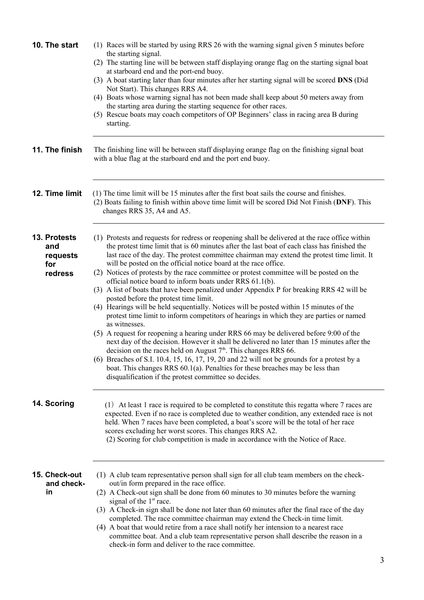| 10. The start                                     | (1) Races will be started by using RRS 26 with the warning signal given 5 minutes before<br>the starting signal.<br>(2) The starting line will be between staff displaying orange flag on the starting signal boat<br>at starboard end and the port-end buoy.<br>(3) A boat starting later than four minutes after her starting signal will be scored DNS (Did<br>Not Start). This changes RRS A4.<br>(4) Boats whose warning signal has not been made shall keep about 50 meters away from<br>the starting area during the starting sequence for other races.<br>(5) Rescue boats may coach competitors of OP Beginners' class in racing area B during<br>starting.                                                                                                                                                                                                                                                                                                                                                                                                                                                                                                                                                                                                                                                                                                           |
|---------------------------------------------------|--------------------------------------------------------------------------------------------------------------------------------------------------------------------------------------------------------------------------------------------------------------------------------------------------------------------------------------------------------------------------------------------------------------------------------------------------------------------------------------------------------------------------------------------------------------------------------------------------------------------------------------------------------------------------------------------------------------------------------------------------------------------------------------------------------------------------------------------------------------------------------------------------------------------------------------------------------------------------------------------------------------------------------------------------------------------------------------------------------------------------------------------------------------------------------------------------------------------------------------------------------------------------------------------------------------------------------------------------------------------------------|
| 11. The finish                                    | The finishing line will be between staff displaying orange flag on the finishing signal boat<br>with a blue flag at the starboard end and the port end buoy.                                                                                                                                                                                                                                                                                                                                                                                                                                                                                                                                                                                                                                                                                                                                                                                                                                                                                                                                                                                                                                                                                                                                                                                                                   |
| 12. Time limit                                    | (1) The time limit will be 15 minutes after the first boat sails the course and finishes.<br>(2) Boats failing to finish within above time limit will be scored Did Not Finish (DNF). This<br>changes RRS 35, A4 and A5.                                                                                                                                                                                                                                                                                                                                                                                                                                                                                                                                                                                                                                                                                                                                                                                                                                                                                                                                                                                                                                                                                                                                                       |
| 13. Protests<br>and<br>requests<br>for<br>redress | (1) Protests and requests for redress or reopening shall be delivered at the race office within<br>the protest time limit that is 60 minutes after the last boat of each class has finished the<br>last race of the day. The protest committee chairman may extend the protest time limit. It<br>will be posted on the official notice board at the race office.<br>(2) Notices of protests by the race committee or protest committee will be posted on the<br>official notice board to inform boats under RRS 61.1(b).<br>(3) A list of boats that have been penalized under Appendix P for breaking RRS 42 will be<br>posted before the protest time limit.<br>(4) Hearings will be held sequentially. Notices will be posted within 15 minutes of the<br>protest time limit to inform competitors of hearings in which they are parties or named<br>as witnesses.<br>(5) A request for reopening a hearing under RRS 66 may be delivered before 9:00 of the<br>next day of the decision. However it shall be delivered no later than 15 minutes after the<br>decision on the races held on August $7th$ . This changes RRS 66.<br>(6) Breaches of S.I. 10.4, 15, 16, 17, 19, 20 and 22 will not be grounds for a protest by a<br>boat. This changes RRS $60.1(a)$ . Penalties for these breaches may be less than<br>disqualification if the protest committee so decides. |
| 14. Scoring                                       | (1) At least 1 race is required to be completed to constitute this regatta where 7 races are<br>expected. Even if no race is completed due to weather condition, any extended race is not<br>held. When 7 races have been completed, a boat's score will be the total of her race<br>scores excluding her worst scores. This changes RRS A2.<br>(2) Scoring for club competition is made in accordance with the Notice of Race.                                                                                                                                                                                                                                                                                                                                                                                                                                                                                                                                                                                                                                                                                                                                                                                                                                                                                                                                                |
| 15. Check-out<br>and check-<br>in                 | (1) A club team representative person shall sign for all club team members on the check-<br>out/in form prepared in the race office.<br>(2) A Check-out sign shall be done from 60 minutes to 30 minutes before the warning<br>signal of the 1 <sup>st</sup> race.<br>(3) A Check-in sign shall be done not later than 60 minutes after the final race of the day<br>completed. The race committee chairman may extend the Check-in time limit.<br>(4) A boat that would retire from a race shall notify her intension to a nearest race<br>committee boat. And a club team representative person shall describe the reason in a<br>check-in form and deliver to the race committee.                                                                                                                                                                                                                                                                                                                                                                                                                                                                                                                                                                                                                                                                                           |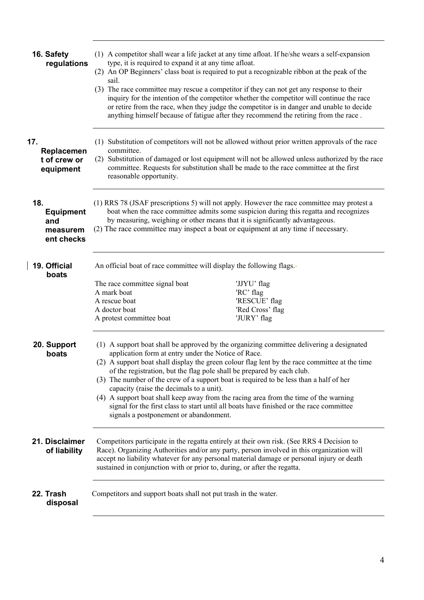| 16. Safety<br>regulations                                | type, it is required to expand it at any time afloat.<br>sail.                                                                                                                                                                                                                                                                                                                                                                                                                                                                                                                                                                                                                                | (1) A competitor shall wear a life jacket at any time afloat. If he/she wears a self-expansion<br>(2) An OP Beginners' class boat is required to put a recognizable ribbon at the peak of the<br>(3) The race committee may rescue a competitor if they can not get any response to their<br>inquiry for the intention of the competitor whether the competitor will continue the race<br>or retire from the race, when they judge the competitor is in danger and unable to decide<br>anything himself because of fatigue after they recommend the retiring from the race. |  |
|----------------------------------------------------------|-----------------------------------------------------------------------------------------------------------------------------------------------------------------------------------------------------------------------------------------------------------------------------------------------------------------------------------------------------------------------------------------------------------------------------------------------------------------------------------------------------------------------------------------------------------------------------------------------------------------------------------------------------------------------------------------------|-----------------------------------------------------------------------------------------------------------------------------------------------------------------------------------------------------------------------------------------------------------------------------------------------------------------------------------------------------------------------------------------------------------------------------------------------------------------------------------------------------------------------------------------------------------------------------|--|
| 17.<br>Replacemen<br>t of crew or<br>equipment           | committee.<br>reasonable opportunity.                                                                                                                                                                                                                                                                                                                                                                                                                                                                                                                                                                                                                                                         | (1) Substitution of competitors will not be allowed without prior written approvals of the race<br>(2) Substitution of damaged or lost equipment will not be allowed unless authorized by the race<br>committee. Requests for substitution shall be made to the race committee at the first                                                                                                                                                                                                                                                                                 |  |
| 18.<br><b>Equipment</b><br>and<br>measurem<br>ent checks | (1) RRS 78 (JSAF prescriptions 5) will not apply. However the race committee may protest a<br>boat when the race committee admits some suspicion during this regatta and recognizes<br>by measuring, weighing or other means that it is significantly advantageous.<br>(2) The race committee may inspect a boat or equipment at any time if necessary.                                                                                                                                                                                                                                                                                                                                       |                                                                                                                                                                                                                                                                                                                                                                                                                                                                                                                                                                             |  |
| 19. Official<br>boats                                    | An official boat of race committee will display the following flags.-<br>The race committee signal boat<br>A mark boat<br>A rescue boat<br>A doctor boat<br>A protest committee boat                                                                                                                                                                                                                                                                                                                                                                                                                                                                                                          | 'JJYU' flag<br>'RC' flag<br>'RESCUE' flag<br>'Red Cross' flag<br>'JURY' flag                                                                                                                                                                                                                                                                                                                                                                                                                                                                                                |  |
| 20. Support<br>boats                                     | (1) A support boat shall be approved by the organizing committee delivering a designated<br>application form at entry under the Notice of Race.<br>(2) A support boat shall display the green colour flag lent by the race committee at the time<br>of the registration, but the flag pole shall be prepared by each club.<br>(3) The number of the crew of a support boat is required to be less than a half of her<br>capacity (raise the decimals to a unit).<br>(4) A support boat shall keep away from the racing area from the time of the warning<br>signal for the first class to start until all boats have finished or the race committee<br>signals a postponement or abandonment. |                                                                                                                                                                                                                                                                                                                                                                                                                                                                                                                                                                             |  |
| 21. Disclaimer<br>of liability                           | Competitors participate in the regatta entirely at their own risk. (See RRS 4 Decision to<br>Race). Organizing Authorities and/or any party, person involved in this organization will<br>accept no liability whatever for any personal material damage or personal injury or death<br>sustained in conjunction with or prior to, during, or after the regatta.                                                                                                                                                                                                                                                                                                                               |                                                                                                                                                                                                                                                                                                                                                                                                                                                                                                                                                                             |  |
| 22. Trash<br>disposal                                    | Competitors and support boats shall not put trash in the water.                                                                                                                                                                                                                                                                                                                                                                                                                                                                                                                                                                                                                               |                                                                                                                                                                                                                                                                                                                                                                                                                                                                                                                                                                             |  |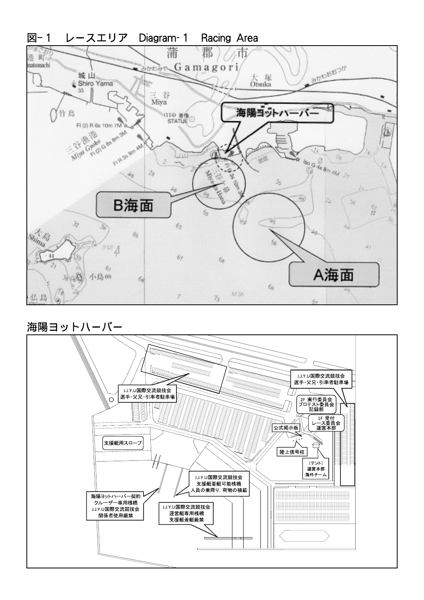

海陽ヨットハーバー

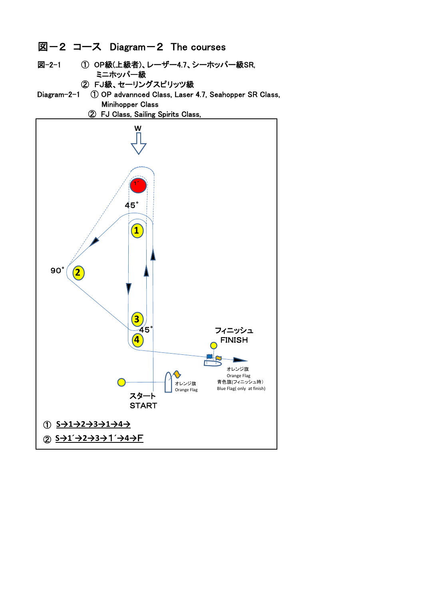

**START** 

① **S→1→2→3→1→4→**

② **S→1´→2→3→**1 F **´→4→**